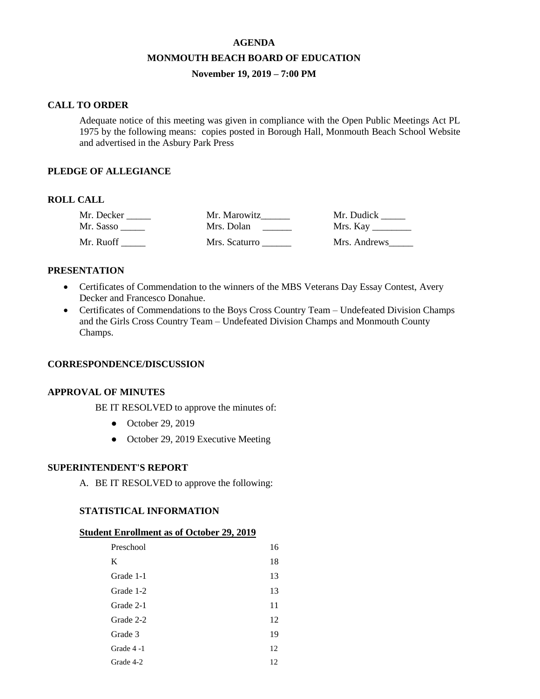# **AGENDA MONMOUTH BEACH BOARD OF EDUCATION November 19, 2019 – 7:00 PM**

#### **CALL TO ORDER**

Adequate notice of this meeting was given in compliance with the Open Public Meetings Act PL 1975 by the following means: copies posted in Borough Hall, Monmouth Beach School Website and advertised in the Asbury Park Press

## **PLEDGE OF ALLEGIANCE**

# **ROLL CALL**

| Mr. Decker | Mr. Marowitz  | Mr. Dudick   |
|------------|---------------|--------------|
| Mr. Sasso  | Mrs. Dolan    | Mrs. Kay     |
| Mr. Ruoff  | Mrs. Scaturro | Mrs. Andrews |

### **PRESENTATION**

- Certificates of Commendation to the winners of the MBS Veterans Day Essay Contest, Avery Decker and Francesco Donahue.
- Certificates of Commendations to the Boys Cross Country Team Undefeated Division Champs and the Girls Cross Country Team – Undefeated Division Champs and Monmouth County Champs.

### **CORRESPONDENCE/DISCUSSION**

### **APPROVAL OF MINUTES**

BE IT RESOLVED to approve the minutes of:

- October 29, 2019
- October 29, 2019 Executive Meeting

#### **SUPERINTENDENT'S REPORT**

A. BE IT RESOLVED to approve the following:

### **STATISTICAL INFORMATION**

#### **Student Enrollment as of October 29, 2019**

| Preschool | 16 |
|-----------|----|
| K         | 18 |
| Grade 1-1 | 13 |
| Grade 1-2 | 13 |
| Grade 2-1 | 11 |
| Grade 2-2 | 12 |
| Grade 3   | 19 |
| Grade 4-1 | 12 |
| Grade 4-2 | 12 |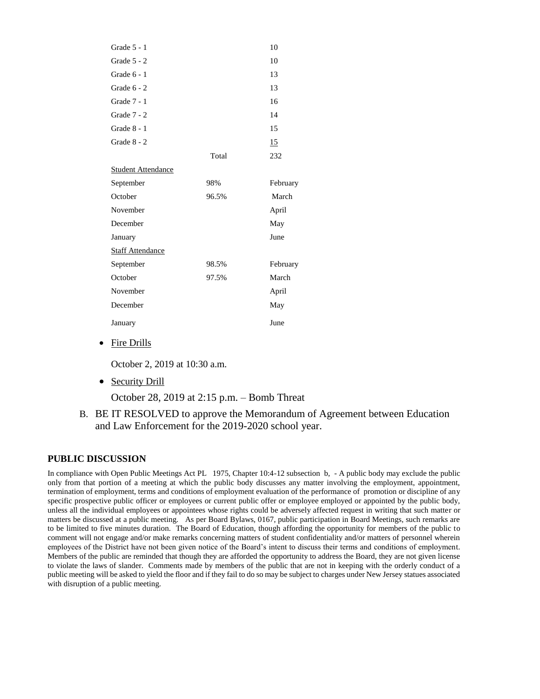| Grade 5 - 1               |       | 10       |
|---------------------------|-------|----------|
| Grade $5 - 2$             |       | 10       |
| Grade $6 - 1$             |       | 13       |
| Grade $6 - 2$             |       | 13       |
| Grade 7 - 1               |       | 16       |
| Grade 7 - 2               |       | 14       |
| Grade $8 - 1$             |       | 15       |
| Grade 8 - 2               |       | 15       |
|                           | Total | 232      |
| <b>Student Attendance</b> |       |          |
| September                 | 98%   | February |
| October                   | 96.5% | March    |
| November                  |       | April    |
| December                  |       | May      |
| January                   |       | June     |
| <b>Staff Attendance</b>   |       |          |
| September                 | 98.5% | February |
| October                   | 97.5% | March    |
| November                  |       | April    |
| December                  |       | May      |
| January                   |       | June     |

• Fire Drills

October 2, 2019 at 10:30 a.m.

• Security Drill

October 28, 2019 at 2:15 p.m. – Bomb Threat

B. BE IT RESOLVED to approve the Memorandum of Agreement between Education and Law Enforcement for the 2019-2020 school year.

# **PUBLIC DISCUSSION**

In compliance with Open Public Meetings Act PL 1975, Chapter 10:4-12 subsection b, - A public body may exclude the public only from that portion of a meeting at which the public body discusses any matter involving the employment, appointment, termination of employment, terms and conditions of employment evaluation of the performance of promotion or discipline of any specific prospective public officer or employees or current public offer or employee employed or appointed by the public body, unless all the individual employees or appointees whose rights could be adversely affected request in writing that such matter or matters be discussed at a public meeting. As per Board Bylaws, 0167, public participation in Board Meetings, such remarks are to be limited to five minutes duration. The Board of Education, though affording the opportunity for members of the public to comment will not engage and/or make remarks concerning matters of student confidentiality and/or matters of personnel wherein employees of the District have not been given notice of the Board's intent to discuss their terms and conditions of employment. Members of the public are reminded that though they are afforded the opportunity to address the Board, they are not given license to violate the laws of slander. Comments made by members of the public that are not in keeping with the orderly conduct of a public meeting will be asked to yield the floor and if they fail to do so may be subject to charges under New Jersey statues associated with disruption of a public meeting.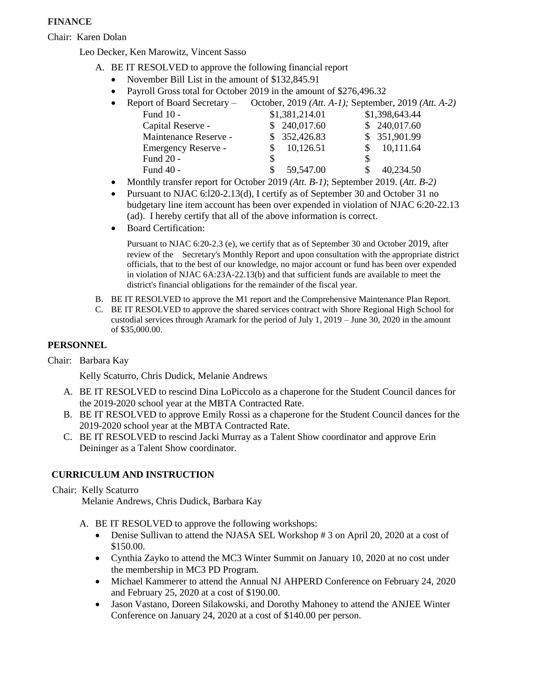# **FINANCE**

Chair: Karen Dolan

Leo Decker, Ken Marowitz, Vincent Sasso

- A. BE IT RESOLVED to approve the following financial report
	- November Bill List in the amount of \$132,845.91
	- Payroll Gross total for October 2019 in the amount of \$276,496.32

| $\bullet$ | Report of Board Secretary – |                | October, 2019 (Att. A-1); September, 2019 (Att. A-2) |
|-----------|-----------------------------|----------------|------------------------------------------------------|
|           | Fund 10 -                   | \$1,381,214.01 | \$1,398,643.44                                       |
|           | Capital Reserve -           | \$240,017.60   | \$240,017.60                                         |
|           | Maintenance Reserve -       | \$352,426.83   | \$ 351,901.99                                        |
|           | Emergency Reserve -         | 10,126.51      | 10,111.64                                            |
|           | Fund 20 -                   |                |                                                      |
|           | Fund 40 -                   | 59,547.00      | 40,234.50                                            |
|           |                             |                |                                                      |

- Monthly transfer report for October 2019 *(Att. B-1)*; September 2019. (*Att. B-2)*
- Pursuant to NJAC 6:l20-2.13(d), I certify as of September 30 and October 31 no budgetary line item account has been over expended in violation of NJAC 6:20-22.13 (ad). I hereby certify that all of the above information is correct.
- Board Certification:

Pursuant to NJAC 6:20-2.3 (e), we certify that as of September 30 and October 2019, after review of the Secretary's Monthly Report and upon consultation with the appropriate district officials, that to the best of our knowledge, no major account or fund has been over expended in violation of NJAC 6A:23A-22.13(b) and that sufficient funds are available to meet the district's financial obligations for the remainder of the fiscal year.

- B. BE IT RESOLVED to approve the M1 report and the Comprehensive Maintenance Plan Report.
- C. BE IT RESOLVED to approve the shared services contract with Shore Regional High School for custodial services through Aramark for the period of July 1, 2019 – June 30, 2020 in the amount of \$35,000.00.

# **PERSONNEL**

Chair: Barbara Kay

Kelly Scaturro, Chris Dudick, Melanie Andrews

- A. BE IT RESOLVED to rescind Dina LoPiccolo as a chaperone for the Student Council dances for the 2019-2020 school year at the MBTA Contracted Rate.
- B. BE IT RESOLVED to approve Emily Rossi as a chaperone for the Student Council dances for the 2019-2020 school year at the MBTA Contracted Rate.
- C. BE IT RESOLVED to rescind Jacki Murray as a Talent Show coordinator and approve Erin Deininger as a Talent Show coordinator.

### **CURRICULUM AND INSTRUCTION**

Chair: Kelly Scaturro

Melanie Andrews, Chris Dudick, Barbara Kay

- A. BE IT RESOLVED to approve the following workshops:
	- Denise Sullivan to attend the NJASA SEL Workshop # 3 on April 20, 2020 at a cost of \$150.00.
	- Cynthia Zayko to attend the MC3 Winter Summit on January 10, 2020 at no cost under the membership in MC3 PD Program.
	- Michael Kammerer to attend the Annual NJ AHPERD Conference on February 24, 2020 and February 25, 2020 at a cost of \$190.00.
	- Jason Vastano, Doreen Silakowski, and Dorothy Mahoney to attend the ANJEE Winter Conference on January 24, 2020 at a cost of \$140.00 per person.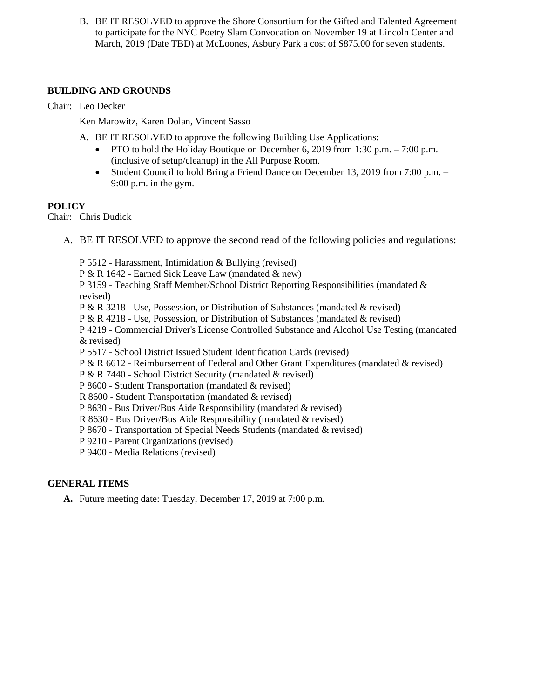B. BE IT RESOLVED to approve the Shore Consortium for the Gifted and Talented Agreement to participate for the NYC Poetry Slam Convocation on November 19 at Lincoln Center and March, 2019 (Date TBD) at McLoones, Asbury Park a cost of \$875.00 for seven students.

## **BUILDING AND GROUNDS**

Chair: Leo Decker

Ken Marowitz, Karen Dolan, Vincent Sasso

- A. BE IT RESOLVED to approve the following Building Use Applications:
	- PTO to hold the Holiday Boutique on December 6, 2019 from 1:30 p.m.  $-7:00$  p.m. (inclusive of setup/cleanup) in the All Purpose Room.
	- Student Council to hold Bring a Friend Dance on December 13, 2019 from 7:00 p.m. 9:00 p.m. in the gym.

# **POLICY**

Chair: Chris Dudick

A. BE IT RESOLVED to approve the second read of the following policies and regulations:

P 5512 - Harassment, Intimidation & Bullying (revised) P & R 1642 - Earned Sick Leave Law (mandated & new) P 3159 - Teaching Staff Member/School District Reporting Responsibilities (mandated & revised) P & R 3218 - Use, Possession, or Distribution of Substances (mandated & revised) P & R 4218 - Use, Possession, or Distribution of Substances (mandated & revised) P 4219 - Commercial Driver's License Controlled Substance and Alcohol Use Testing (mandated & revised) P 5517 - School District Issued Student Identification Cards (revised) P & R 6612 - Reimbursement of Federal and Other Grant Expenditures (mandated & revised) P & R 7440 - School District Security (mandated & revised) P 8600 - Student Transportation (mandated & revised) R 8600 - Student Transportation (mandated & revised) P 8630 - Bus Driver/Bus Aide Responsibility (mandated & revised) R 8630 - Bus Driver/Bus Aide Responsibility (mandated & revised) P 8670 - Transportation of Special Needs Students (mandated & revised)

P 9210 - Parent Organizations (revised)

P 9400 - Media Relations (revised)

# **GENERAL ITEMS**

**A.** Future meeting date: Tuesday, December 17, 2019 at 7:00 p.m.